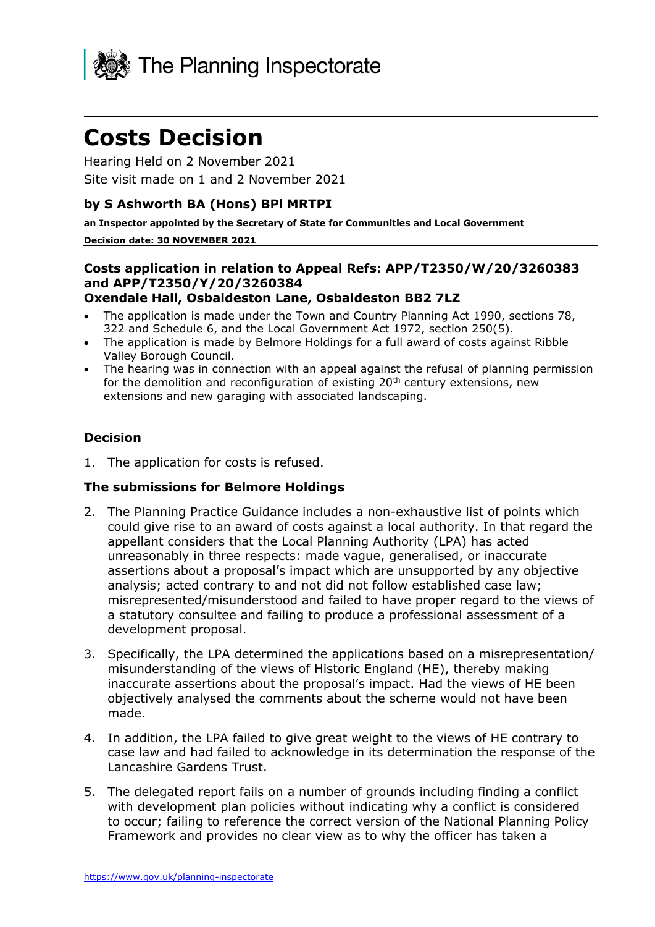

# **Costs Decision**

Hearing Held on 2 November 2021 Site visit made on 1 and 2 November 2021

# **by S Ashworth BA (Hons) BPl MRTPI**

**an Inspector appointed by the Secretary of State for Communities and Local Government**

#### **Decision date: 30 NOVEMBER 2021**

#### **Costs application in relation to Appeal Refs: APP/T2350/W/20/3260383 and APP/T2350/Y/20/3260384 Oxendale Hall, Osbaldeston Lane, Osbaldeston BB2 7LZ**

- The application is made under the Town and Country Planning Act 1990, sections 78, 322 and Schedule 6, and the Local Government Act 1972, section 250(5).
- The application is made by Belmore Holdings for a full award of costs against Ribble Valley Borough Council.
- The hearing was in connection with an appeal against the refusal of planning permission for the demolition and reconfiguration of existing 20<sup>th</sup> century extensions, new extensions and new garaging with associated landscaping.

# **Decision**

1. The application for costs is refused.

### **The submissions for Belmore Holdings**

- 2. The Planning Practice Guidance includes a non-exhaustive list of points which could give rise to an award of costs against a local authority. In that regard the appellant considers that the Local Planning Authority (LPA) has acted unreasonably in three respects: made vague, generalised, or inaccurate assertions about a proposal's impact which are unsupported by any objective analysis; acted contrary to and not did not follow established case law; misrepresented/misunderstood and failed to have proper regard to the views of a statutory consultee and failing to produce a professional assessment of a development proposal.
- 3. Specifically, the LPA determined the applications based on a misrepresentation/ misunderstanding of the views of Historic England (HE), thereby making inaccurate assertions about the proposal's impact. Had the views of HE been objectively analysed the comments about the scheme would not have been made.
- 4. In addition, the LPA failed to give great weight to the views of HE contrary to case law and had failed to acknowledge in its determination the response of the Lancashire Gardens Trust.
- 5. The delegated report fails on a number of grounds including finding a conflict with development plan policies without indicating why a conflict is considered to occur; failing to reference the correct version of the National Planning Policy Framework and provides no clear view as to why the officer has taken a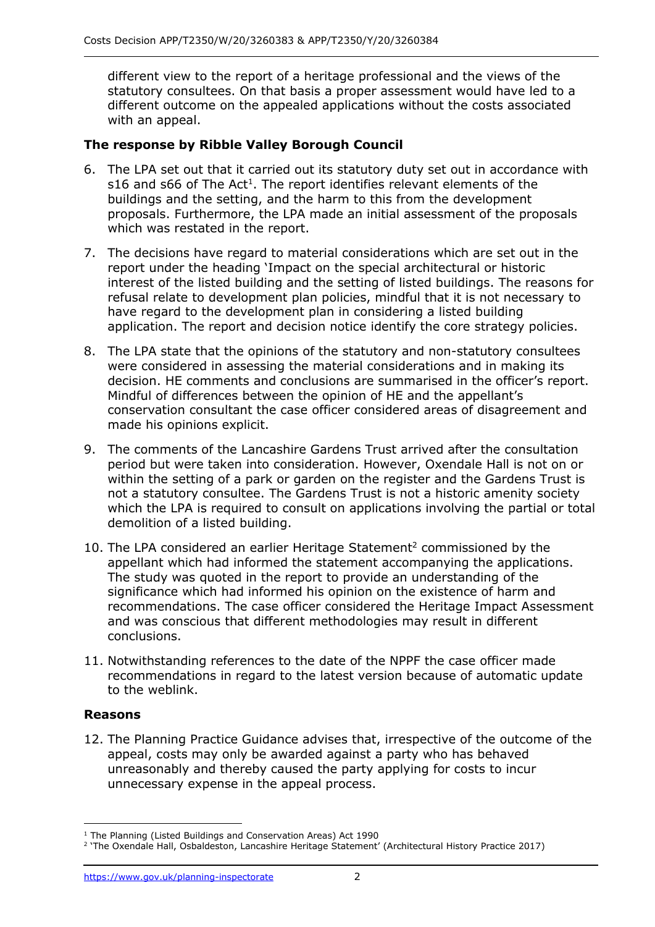different view to the report of a heritage professional and the views of the statutory consultees. On that basis a proper assessment would have led to a different outcome on the appealed applications without the costs associated with an appeal.

# **The response by Ribble Valley Borough Council**

- 6. The LPA set out that it carried out its statutory duty set out in accordance with s16 and s66 of The Act<sup>1</sup>. The report identifies relevant elements of the buildings and the setting, and the harm to this from the development proposals. Furthermore, the LPA made an initial assessment of the proposals which was restated in the report.
- 7. The decisions have regard to material considerations which are set out in the report under the heading 'Impact on the special architectural or historic interest of the listed building and the setting of listed buildings. The reasons for refusal relate to development plan policies, mindful that it is not necessary to have regard to the development plan in considering a listed building application. The report and decision notice identify the core strategy policies.
- 8. The LPA state that the opinions of the statutory and non-statutory consultees were considered in assessing the material considerations and in making its decision. HE comments and conclusions are summarised in the officer's report. Mindful of differences between the opinion of HE and the appellant's conservation consultant the case officer considered areas of disagreement and made his opinions explicit.
- 9. The comments of the Lancashire Gardens Trust arrived after the consultation period but were taken into consideration. However, Oxendale Hall is not on or within the setting of a park or garden on the register and the Gardens Trust is not a statutory consultee. The Gardens Trust is not a historic amenity society which the LPA is required to consult on applications involving the partial or total demolition of a listed building.
- 10. The LPA considered an earlier Heritage Statement<sup>2</sup> commissioned by the appellant which had informed the statement accompanying the applications. The study was quoted in the report to provide an understanding of the significance which had informed his opinion on the existence of harm and recommendations. The case officer considered the Heritage Impact Assessment and was conscious that different methodologies may result in different conclusions.
- 11. Notwithstanding references to the date of the NPPF the case officer made recommendations in regard to the latest version because of automatic update to the weblink.

### **Reasons**

12. The Planning Practice Guidance advises that, irrespective of the outcome of the appeal, costs may only be awarded against a party who has behaved unreasonably and thereby caused the party applying for costs to incur unnecessary expense in the appeal process.

<sup>&</sup>lt;sup>1</sup> The Planning (Listed Buildings and Conservation Areas) Act 1990

<sup>2</sup> 'The Oxendale Hall, Osbaldeston, Lancashire Heritage Statement' (Architectural History Practice 2017)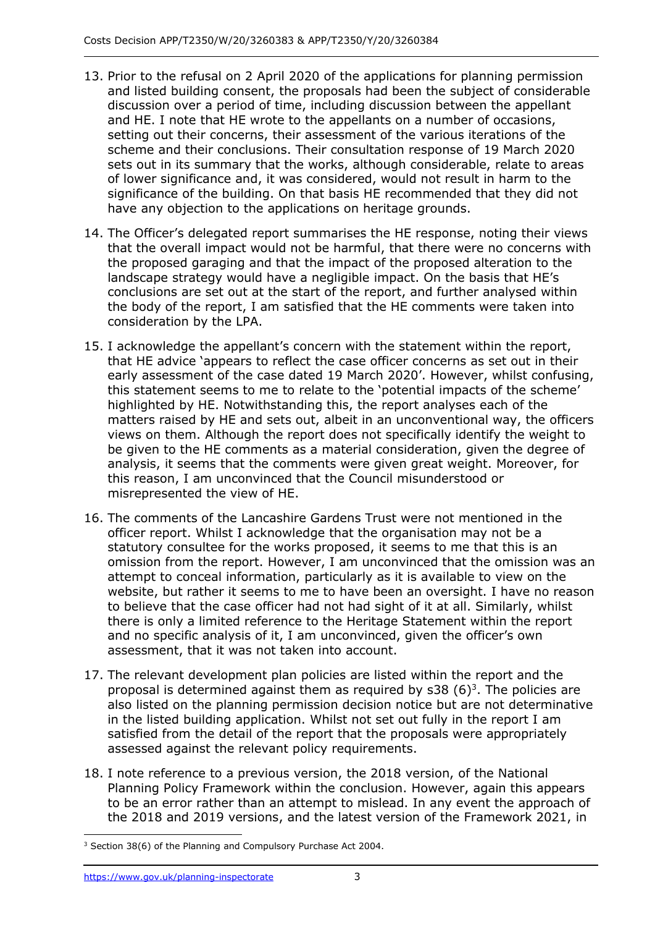- 13. Prior to the refusal on 2 April 2020 of the applications for planning permission and listed building consent, the proposals had been the subject of considerable discussion over a period of time, including discussion between the appellant and HE. I note that HE wrote to the appellants on a number of occasions, setting out their concerns, their assessment of the various iterations of the scheme and their conclusions. Their consultation response of 19 March 2020 sets out in its summary that the works, although considerable, relate to areas of lower significance and, it was considered, would not result in harm to the significance of the building. On that basis HE recommended that they did not have any objection to the applications on heritage grounds.
- 14. The Officer's delegated report summarises the HE response, noting their views that the overall impact would not be harmful, that there were no concerns with the proposed garaging and that the impact of the proposed alteration to the landscape strategy would have a negligible impact. On the basis that HE's conclusions are set out at the start of the report, and further analysed within the body of the report, I am satisfied that the HE comments were taken into consideration by the LPA.
- 15. I acknowledge the appellant's concern with the statement within the report, that HE advice 'appears to reflect the case officer concerns as set out in their early assessment of the case dated 19 March 2020'. However, whilst confusing, this statement seems to me to relate to the 'potential impacts of the scheme' highlighted by HE. Notwithstanding this, the report analyses each of the matters raised by HE and sets out, albeit in an unconventional way, the officers views on them. Although the report does not specifically identify the weight to be given to the HE comments as a material consideration, given the degree of analysis, it seems that the comments were given great weight. Moreover, for this reason, I am unconvinced that the Council misunderstood or misrepresented the view of HE.
- 16. The comments of the Lancashire Gardens Trust were not mentioned in the officer report. Whilst I acknowledge that the organisation may not be a statutory consultee for the works proposed, it seems to me that this is an omission from the report. However, I am unconvinced that the omission was an attempt to conceal information, particularly as it is available to view on the website, but rather it seems to me to have been an oversight. I have no reason to believe that the case officer had not had sight of it at all. Similarly, whilst there is only a limited reference to the Heritage Statement within the report and no specific analysis of it, I am unconvinced, given the officer's own assessment, that it was not taken into account.
- 17. The relevant development plan policies are listed within the report and the proposal is determined against them as required by  $s38$  (6)<sup>3</sup>. The policies are also listed on the planning permission decision notice but are not determinative in the listed building application. Whilst not set out fully in the report I am satisfied from the detail of the report that the proposals were appropriately assessed against the relevant policy requirements.
- 18. I note reference to a previous version, the 2018 version, of the National Planning Policy Framework within the conclusion. However, again this appears to be an error rather than an attempt to mislead. In any event the approach of the 2018 and 2019 versions, and the latest version of the Framework 2021, in

<sup>&</sup>lt;sup>3</sup> Section 38(6) of the Planning and Compulsory Purchase Act 2004.